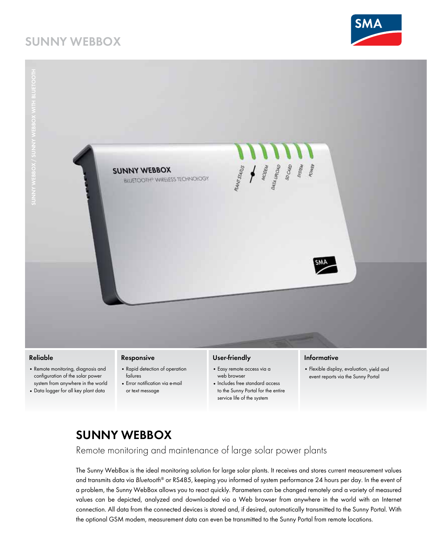# **SUNNY WEBBOX**





#### **Reliable**

- • Remote monitoring, diagnosis and configuration of the solar power system from anywhere in the world
- • Data logger for all key plant data

#### **Responsive**

- • Rapid detection of operation failures
- Error notification via e-mail or text message

#### **User-friendly**

- • Easy remote access via a web browser
- • Includes free standard access to the Sunny Portal for the entire service life of the system

#### **Informative**

• Flexible display, evaluation, yield and event reports via the Sunny Portal

## **SUNNY WEBBOX**

Remote monitoring and maintenance of large solar power plants

The Sunny WebBox is the ideal monitoring solution for large solar plants. It receives and stores current measurement values and transmits data via *Bluetooth*® or RS485, keeping you informed of system performance 24 hours per day. In the event of a problem, the Sunny WebBox allows you to react quickly. Parameters can be changed remotely and a variety of measured values can be depicted, analyzed and downloaded via a Web browser from anywhere in the world with an Internet connection. All data from the connected devices is stored and, if desired, automatically transmitted to the Sunny Portal. With the optional GSM modem, measurement data can even be transmitted to the Sunny Portal from remote locations.